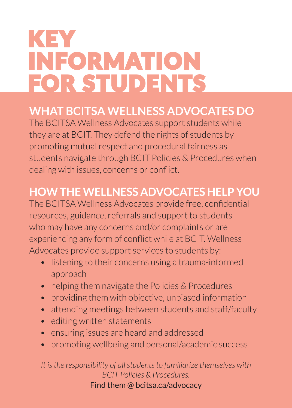# KEY INFORMATION FOR STUDENTS

## **WHAT BCITSA WELLNESS ADVOCATES DO**

The BCITSA Wellness Advocates support students while they are at BCIT. They defend the rights of students by promoting mutual respect and procedural fairness as students navigate through BCIT Policies & Procedures when dealing with issues, concerns or conflict.

## **HOW THE WELLNESS ADVOCATES HELP YOU**

The BCITSA Wellness Advocates provide free, confidential resources, guidance, referrals and support to students who may have any concerns and/or complaints or are experiencing any form of conflict while at BCIT. Wellness Advocates provide support services to students by:

- listening to their concerns using a trauma-informed approach
- helping them navigate the Policies & Procedures
- providing them with objective, unbiased information
- attending meetings between students and staff/faculty
- editing written statements
- ensuring issues are heard and addressed
- promoting wellbeing and personal/academic success

*It is the responsibility of all students to familiarize themselves with BCIT Policies & Procedures.* Find them @ bcitsa.ca/advocacy